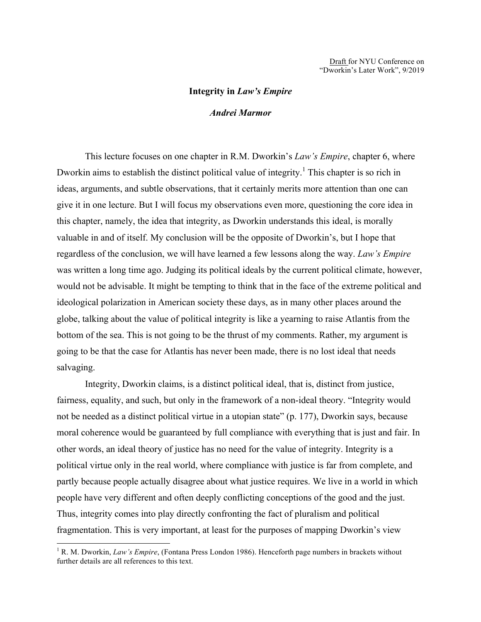## **Integrity in** *Law's Empire*

## *Andrei Marmor*

This lecture focuses on one chapter in R.M. Dworkin's *Law's Empire*, chapter 6, where Dworkin aims to establish the distinct political value of integrity.<sup>1</sup> This chapter is so rich in ideas, arguments, and subtle observations, that it certainly merits more attention than one can give it in one lecture. But I will focus my observations even more, questioning the core idea in this chapter, namely, the idea that integrity, as Dworkin understands this ideal, is morally valuable in and of itself. My conclusion will be the opposite of Dworkin's, but I hope that regardless of the conclusion, we will have learned a few lessons along the way. *Law's Empire* was written a long time ago. Judging its political ideals by the current political climate, however, would not be advisable. It might be tempting to think that in the face of the extreme political and ideological polarization in American society these days, as in many other places around the globe, talking about the value of political integrity is like a yearning to raise Atlantis from the bottom of the sea. This is not going to be the thrust of my comments. Rather, my argument is going to be that the case for Atlantis has never been made, there is no lost ideal that needs salvaging.

Integrity, Dworkin claims, is a distinct political ideal, that is, distinct from justice, fairness, equality, and such, but only in the framework of a non-ideal theory. "Integrity would not be needed as a distinct political virtue in a utopian state" (p. 177), Dworkin says, because moral coherence would be guaranteed by full compliance with everything that is just and fair. In other words, an ideal theory of justice has no need for the value of integrity. Integrity is a political virtue only in the real world, where compliance with justice is far from complete, and partly because people actually disagree about what justice requires. We live in a world in which people have very different and often deeply conflicting conceptions of the good and the just. Thus, integrity comes into play directly confronting the fact of pluralism and political fragmentation. This is very important, at least for the purposes of mapping Dworkin's view

<sup>&</sup>lt;sup>1</sup> R. M. Dworkin, *Law's Empire*, (Fontana Press London 1986). Henceforth page numbers in brackets without further details are all references to this text.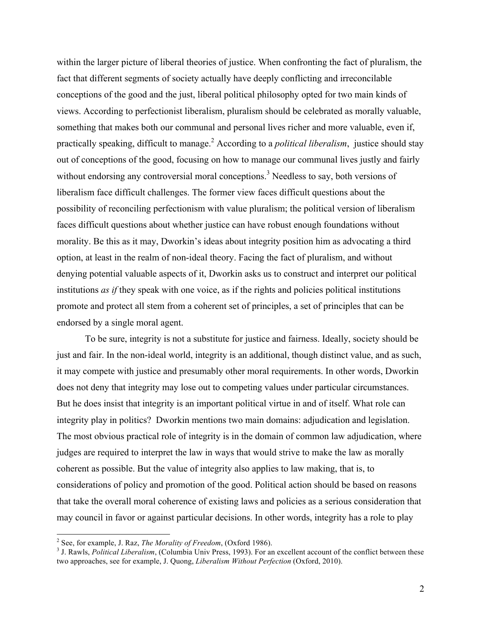within the larger picture of liberal theories of justice. When confronting the fact of pluralism, the fact that different segments of society actually have deeply conflicting and irreconcilable conceptions of the good and the just, liberal political philosophy opted for two main kinds of views. According to perfectionist liberalism, pluralism should be celebrated as morally valuable, something that makes both our communal and personal lives richer and more valuable, even if, practically speaking, difficult to manage.2 According to a *political liberalism*, justice should stay out of conceptions of the good, focusing on how to manage our communal lives justly and fairly without endorsing any controversial moral conceptions.<sup>3</sup> Needless to say, both versions of liberalism face difficult challenges. The former view faces difficult questions about the possibility of reconciling perfectionism with value pluralism; the political version of liberalism faces difficult questions about whether justice can have robust enough foundations without morality. Be this as it may, Dworkin's ideas about integrity position him as advocating a third option, at least in the realm of non-ideal theory. Facing the fact of pluralism, and without denying potential valuable aspects of it, Dworkin asks us to construct and interpret our political institutions *as if* they speak with one voice, as if the rights and policies political institutions promote and protect all stem from a coherent set of principles, a set of principles that can be endorsed by a single moral agent.

To be sure, integrity is not a substitute for justice and fairness. Ideally, society should be just and fair. In the non-ideal world, integrity is an additional, though distinct value, and as such, it may compete with justice and presumably other moral requirements. In other words, Dworkin does not deny that integrity may lose out to competing values under particular circumstances. But he does insist that integrity is an important political virtue in and of itself. What role can integrity play in politics? Dworkin mentions two main domains: adjudication and legislation. The most obvious practical role of integrity is in the domain of common law adjudication, where judges are required to interpret the law in ways that would strive to make the law as morally coherent as possible. But the value of integrity also applies to law making, that is, to considerations of policy and promotion of the good. Political action should be based on reasons that take the overall moral coherence of existing laws and policies as a serious consideration that may council in favor or against particular decisions. In other words, integrity has a role to play

<sup>&</sup>lt;sup>2</sup> See, for example, J. Raz, *The Morality of Freedom*, (Oxford 1986).<br><sup>3</sup> J. Rawls, *Political Liberalism*, (Columbia Univ Press, 1993). For an excellent account of the conflict between these two approaches, see for example, J. Quong, *Liberalism Without Perfection* (Oxford, 2010).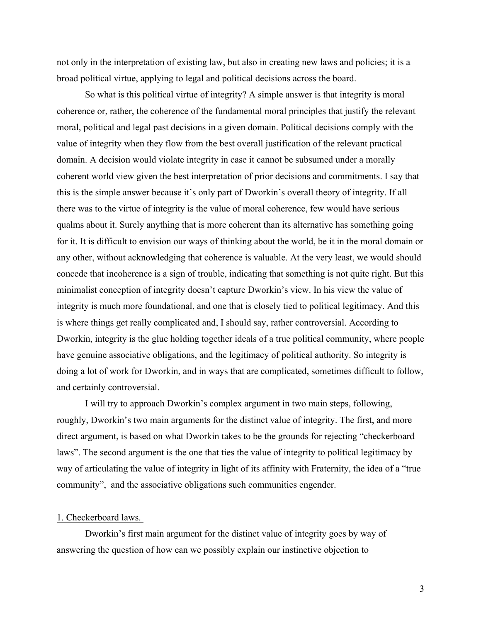not only in the interpretation of existing law, but also in creating new laws and policies; it is a broad political virtue, applying to legal and political decisions across the board.

So what is this political virtue of integrity? A simple answer is that integrity is moral coherence or, rather, the coherence of the fundamental moral principles that justify the relevant moral, political and legal past decisions in a given domain. Political decisions comply with the value of integrity when they flow from the best overall justification of the relevant practical domain. A decision would violate integrity in case it cannot be subsumed under a morally coherent world view given the best interpretation of prior decisions and commitments. I say that this is the simple answer because it's only part of Dworkin's overall theory of integrity. If all there was to the virtue of integrity is the value of moral coherence, few would have serious qualms about it. Surely anything that is more coherent than its alternative has something going for it. It is difficult to envision our ways of thinking about the world, be it in the moral domain or any other, without acknowledging that coherence is valuable. At the very least, we would should concede that incoherence is a sign of trouble, indicating that something is not quite right. But this minimalist conception of integrity doesn't capture Dworkin's view. In his view the value of integrity is much more foundational, and one that is closely tied to political legitimacy. And this is where things get really complicated and, I should say, rather controversial. According to Dworkin, integrity is the glue holding together ideals of a true political community, where people have genuine associative obligations, and the legitimacy of political authority. So integrity is doing a lot of work for Dworkin, and in ways that are complicated, sometimes difficult to follow, and certainly controversial.

I will try to approach Dworkin's complex argument in two main steps, following, roughly, Dworkin's two main arguments for the distinct value of integrity. The first, and more direct argument, is based on what Dworkin takes to be the grounds for rejecting "checkerboard laws". The second argument is the one that ties the value of integrity to political legitimacy by way of articulating the value of integrity in light of its affinity with Fraternity, the idea of a "true community", and the associative obligations such communities engender.

## 1. Checkerboard laws.

Dworkin's first main argument for the distinct value of integrity goes by way of answering the question of how can we possibly explain our instinctive objection to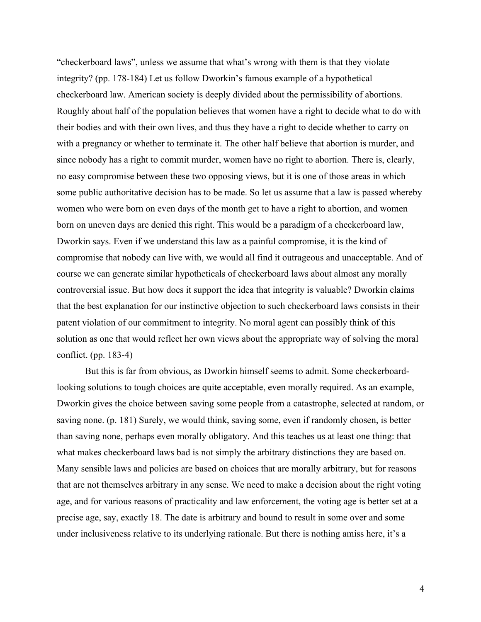"checkerboard laws", unless we assume that what's wrong with them is that they violate integrity? (pp. 178-184) Let us follow Dworkin's famous example of a hypothetical checkerboard law. American society is deeply divided about the permissibility of abortions. Roughly about half of the population believes that women have a right to decide what to do with their bodies and with their own lives, and thus they have a right to decide whether to carry on with a pregnancy or whether to terminate it. The other half believe that abortion is murder, and since nobody has a right to commit murder, women have no right to abortion. There is, clearly, no easy compromise between these two opposing views, but it is one of those areas in which some public authoritative decision has to be made. So let us assume that a law is passed whereby women who were born on even days of the month get to have a right to abortion, and women born on uneven days are denied this right. This would be a paradigm of a checkerboard law, Dworkin says. Even if we understand this law as a painful compromise, it is the kind of compromise that nobody can live with, we would all find it outrageous and unacceptable. And of course we can generate similar hypotheticals of checkerboard laws about almost any morally controversial issue. But how does it support the idea that integrity is valuable? Dworkin claims that the best explanation for our instinctive objection to such checkerboard laws consists in their patent violation of our commitment to integrity. No moral agent can possibly think of this solution as one that would reflect her own views about the appropriate way of solving the moral conflict. (pp. 183-4)

But this is far from obvious, as Dworkin himself seems to admit. Some checkerboardlooking solutions to tough choices are quite acceptable, even morally required. As an example, Dworkin gives the choice between saving some people from a catastrophe, selected at random, or saving none. (p. 181) Surely, we would think, saving some, even if randomly chosen, is better than saving none, perhaps even morally obligatory. And this teaches us at least one thing: that what makes checkerboard laws bad is not simply the arbitrary distinctions they are based on. Many sensible laws and policies are based on choices that are morally arbitrary, but for reasons that are not themselves arbitrary in any sense. We need to make a decision about the right voting age, and for various reasons of practicality and law enforcement, the voting age is better set at a precise age, say, exactly 18. The date is arbitrary and bound to result in some over and some under inclusiveness relative to its underlying rationale. But there is nothing amiss here, it's a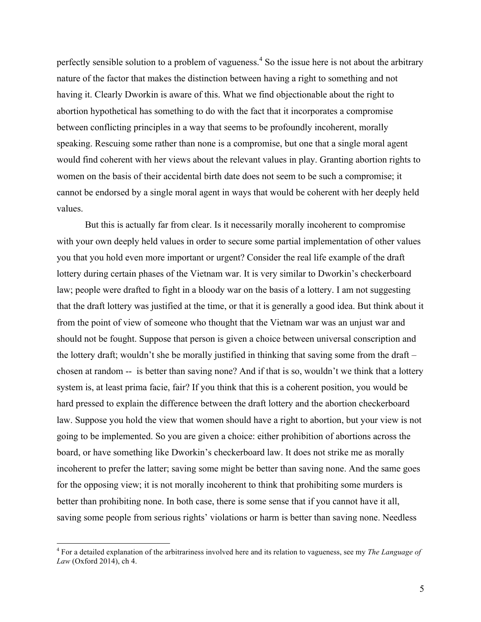perfectly sensible solution to a problem of vagueness.<sup>4</sup> So the issue here is not about the arbitrary nature of the factor that makes the distinction between having a right to something and not having it. Clearly Dworkin is aware of this. What we find objectionable about the right to abortion hypothetical has something to do with the fact that it incorporates a compromise between conflicting principles in a way that seems to be profoundly incoherent, morally speaking. Rescuing some rather than none is a compromise, but one that a single moral agent would find coherent with her views about the relevant values in play. Granting abortion rights to women on the basis of their accidental birth date does not seem to be such a compromise; it cannot be endorsed by a single moral agent in ways that would be coherent with her deeply held values.

But this is actually far from clear. Is it necessarily morally incoherent to compromise with your own deeply held values in order to secure some partial implementation of other values you that you hold even more important or urgent? Consider the real life example of the draft lottery during certain phases of the Vietnam war. It is very similar to Dworkin's checkerboard law; people were drafted to fight in a bloody war on the basis of a lottery. I am not suggesting that the draft lottery was justified at the time, or that it is generally a good idea. But think about it from the point of view of someone who thought that the Vietnam war was an unjust war and should not be fought. Suppose that person is given a choice between universal conscription and the lottery draft; wouldn't she be morally justified in thinking that saving some from the draft – chosen at random -- is better than saving none? And if that is so, wouldn't we think that a lottery system is, at least prima facie, fair? If you think that this is a coherent position, you would be hard pressed to explain the difference between the draft lottery and the abortion checkerboard law. Suppose you hold the view that women should have a right to abortion, but your view is not going to be implemented. So you are given a choice: either prohibition of abortions across the board, or have something like Dworkin's checkerboard law. It does not strike me as morally incoherent to prefer the latter; saving some might be better than saving none. And the same goes for the opposing view; it is not morally incoherent to think that prohibiting some murders is better than prohibiting none. In both case, there is some sense that if you cannot have it all, saving some people from serious rights' violations or harm is better than saving none. Needless

 <sup>4</sup> For a detailed explanation of the arbitrariness involved here and its relation to vagueness, see my *The Language of Law* (Oxford 2014), ch 4.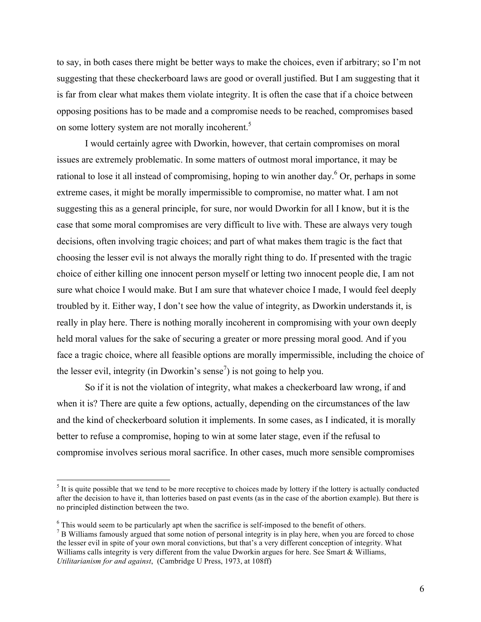to say, in both cases there might be better ways to make the choices, even if arbitrary; so I'm not suggesting that these checkerboard laws are good or overall justified. But I am suggesting that it is far from clear what makes them violate integrity. It is often the case that if a choice between opposing positions has to be made and a compromise needs to be reached, compromises based on some lottery system are not morally incoherent.<sup>5</sup>

I would certainly agree with Dworkin, however, that certain compromises on moral issues are extremely problematic. In some matters of outmost moral importance, it may be rational to lose it all instead of compromising, hoping to win another day.<sup>6</sup> Or, perhaps in some extreme cases, it might be morally impermissible to compromise, no matter what. I am not suggesting this as a general principle, for sure, nor would Dworkin for all I know, but it is the case that some moral compromises are very difficult to live with. These are always very tough decisions, often involving tragic choices; and part of what makes them tragic is the fact that choosing the lesser evil is not always the morally right thing to do. If presented with the tragic choice of either killing one innocent person myself or letting two innocent people die, I am not sure what choice I would make. But I am sure that whatever choice I made, I would feel deeply troubled by it. Either way, I don't see how the value of integrity, as Dworkin understands it, is really in play here. There is nothing morally incoherent in compromising with your own deeply held moral values for the sake of securing a greater or more pressing moral good. And if you face a tragic choice, where all feasible options are morally impermissible, including the choice of the lesser evil, integrity (in Dworkin's sense<sup>7</sup>) is not going to help you.

So if it is not the violation of integrity, what makes a checkerboard law wrong, if and when it is? There are quite a few options, actually, depending on the circumstances of the law and the kind of checkerboard solution it implements. In some cases, as I indicated, it is morally better to refuse a compromise, hoping to win at some later stage, even if the refusal to compromise involves serious moral sacrifice. In other cases, much more sensible compromises

 $<sup>5</sup>$  It is quite possible that we tend to be more receptive to choices made by lottery if the lottery is actually conducted</sup> after the decision to have it, than lotteries based on past events (as in the case of the abortion example). But there is no principled distinction between the two.

 $\frac{6}{7}$  This would seem to be particularly apt when the sacrifice is self-imposed to the benefit of others.<br><sup>7</sup> B Williams famously argued that some notion of personal integrity is in play here, when you are forced to c the lesser evil in spite of your own moral convictions, but that's a very different conception of integrity. What Williams calls integrity is very different from the value Dworkin argues for here. See Smart & Williams, *Utilitarianism for and against*, (Cambridge U Press, 1973, at 108ff)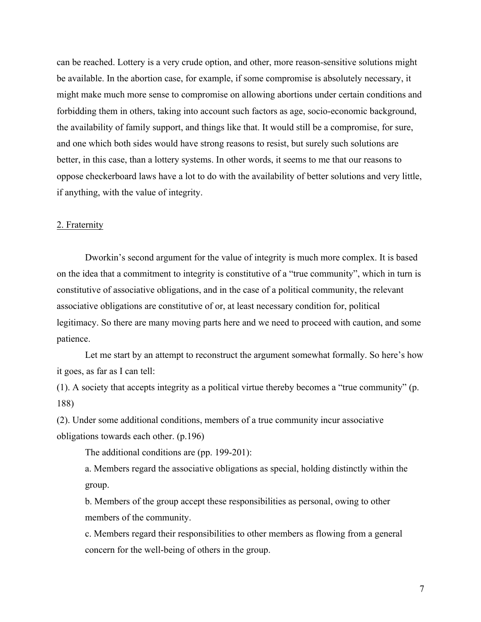can be reached. Lottery is a very crude option, and other, more reason-sensitive solutions might be available. In the abortion case, for example, if some compromise is absolutely necessary, it might make much more sense to compromise on allowing abortions under certain conditions and forbidding them in others, taking into account such factors as age, socio-economic background, the availability of family support, and things like that. It would still be a compromise, for sure, and one which both sides would have strong reasons to resist, but surely such solutions are better, in this case, than a lottery systems. In other words, it seems to me that our reasons to oppose checkerboard laws have a lot to do with the availability of better solutions and very little, if anything, with the value of integrity.

## 2. Fraternity

Dworkin's second argument for the value of integrity is much more complex. It is based on the idea that a commitment to integrity is constitutive of a "true community", which in turn is constitutive of associative obligations, and in the case of a political community, the relevant associative obligations are constitutive of or, at least necessary condition for, political legitimacy. So there are many moving parts here and we need to proceed with caution, and some patience.

Let me start by an attempt to reconstruct the argument somewhat formally. So here's how it goes, as far as I can tell:

(1). A society that accepts integrity as a political virtue thereby becomes a "true community" (p. 188)

(2). Under some additional conditions, members of a true community incur associative obligations towards each other. (p.196)

The additional conditions are (pp. 199-201):

a. Members regard the associative obligations as special, holding distinctly within the group.

b. Members of the group accept these responsibilities as personal, owing to other members of the community.

c. Members regard their responsibilities to other members as flowing from a general concern for the well-being of others in the group.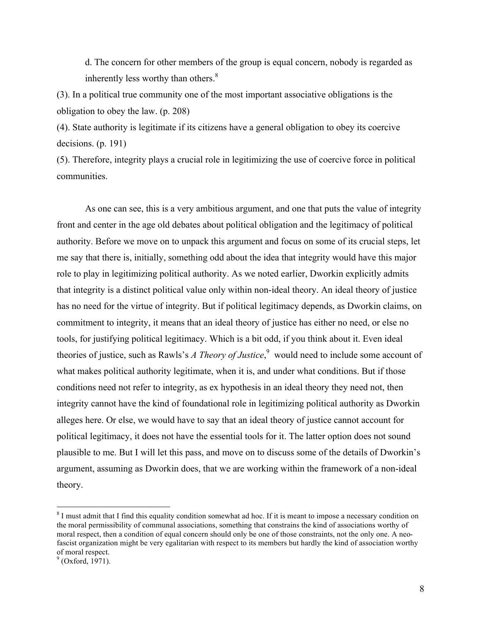d. The concern for other members of the group is equal concern, nobody is regarded as inherently less worthy than others. $8<sup>8</sup>$ 

(3). In a political true community one of the most important associative obligations is the obligation to obey the law. (p. 208)

(4). State authority is legitimate if its citizens have a general obligation to obey its coercive decisions. (p. 191)

(5). Therefore, integrity plays a crucial role in legitimizing the use of coercive force in political communities.

As one can see, this is a very ambitious argument, and one that puts the value of integrity front and center in the age old debates about political obligation and the legitimacy of political authority. Before we move on to unpack this argument and focus on some of its crucial steps, let me say that there is, initially, something odd about the idea that integrity would have this major role to play in legitimizing political authority. As we noted earlier, Dworkin explicitly admits that integrity is a distinct political value only within non-ideal theory. An ideal theory of justice has no need for the virtue of integrity. But if political legitimacy depends, as Dworkin claims, on commitment to integrity, it means that an ideal theory of justice has either no need, or else no tools, for justifying political legitimacy. Which is a bit odd, if you think about it. Even ideal theories of justice, such as Rawls's *A Theory of Justice*,<sup>9</sup> would need to include some account of what makes political authority legitimate, when it is, and under what conditions. But if those conditions need not refer to integrity, as ex hypothesis in an ideal theory they need not, then integrity cannot have the kind of foundational role in legitimizing political authority as Dworkin alleges here. Or else, we would have to say that an ideal theory of justice cannot account for political legitimacy, it does not have the essential tools for it. The latter option does not sound plausible to me. But I will let this pass, and move on to discuss some of the details of Dworkin's argument, assuming as Dworkin does, that we are working within the framework of a non-ideal theory.

<sup>&</sup>lt;sup>8</sup> I must admit that I find this equality condition somewhat ad hoc. If it is meant to impose a necessary condition on the moral permissibility of communal associations, something that constrains the kind of associations worthy of moral respect, then a condition of equal concern should only be one of those constraints, not the only one. A neofascist organization might be very egalitarian with respect to its members but hardly the kind of association worthy of moral respect.

 $^{9}$  (Oxford, 1971).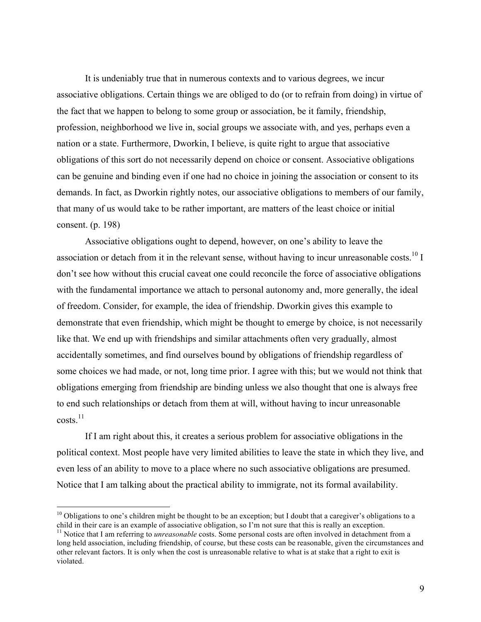It is undeniably true that in numerous contexts and to various degrees, we incur associative obligations. Certain things we are obliged to do (or to refrain from doing) in virtue of the fact that we happen to belong to some group or association, be it family, friendship, profession, neighborhood we live in, social groups we associate with, and yes, perhaps even a nation or a state. Furthermore, Dworkin, I believe, is quite right to argue that associative obligations of this sort do not necessarily depend on choice or consent. Associative obligations can be genuine and binding even if one had no choice in joining the association or consent to its demands. In fact, as Dworkin rightly notes, our associative obligations to members of our family, that many of us would take to be rather important, are matters of the least choice or initial consent. (p. 198)

Associative obligations ought to depend, however, on one's ability to leave the association or detach from it in the relevant sense, without having to incur unreasonable costs.<sup>10</sup> I don't see how without this crucial caveat one could reconcile the force of associative obligations with the fundamental importance we attach to personal autonomy and, more generally, the ideal of freedom. Consider, for example, the idea of friendship. Dworkin gives this example to demonstrate that even friendship, which might be thought to emerge by choice, is not necessarily like that. We end up with friendships and similar attachments often very gradually, almost accidentally sometimes, and find ourselves bound by obligations of friendship regardless of some choices we had made, or not, long time prior. I agree with this; but we would not think that obligations emerging from friendship are binding unless we also thought that one is always free to end such relationships or detach from them at will, without having to incur unreasonable  $costs.<sup>11</sup>$ 

If I am right about this, it creates a serious problem for associative obligations in the political context. Most people have very limited abilities to leave the state in which they live, and even less of an ability to move to a place where no such associative obligations are presumed. Notice that I am talking about the practical ability to immigrate, not its formal availability.

<sup>&</sup>lt;sup>10</sup> Obligations to one's children might be thought to be an exception; but I doubt that a caregiver's obligations to a child in their care is an example of associative obligation, so I'm not sure that this is really an e

 $11$  Notice that I am referring to *unreasonable* costs. Some personal costs are often involved in detachment from a long held association, including friendship, of course, but these costs can be reasonable, given the circumstances and other relevant factors. It is only when the cost is unreasonable relative to what is at stake that a right to exit is violated.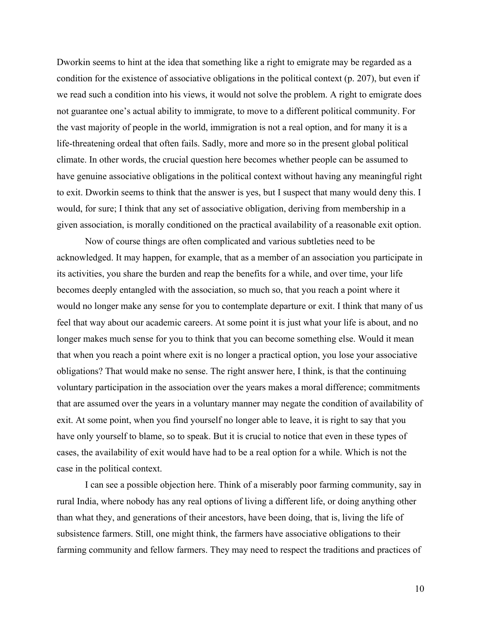Dworkin seems to hint at the idea that something like a right to emigrate may be regarded as a condition for the existence of associative obligations in the political context (p. 207), but even if we read such a condition into his views, it would not solve the problem. A right to emigrate does not guarantee one's actual ability to immigrate, to move to a different political community. For the vast majority of people in the world, immigration is not a real option, and for many it is a life-threatening ordeal that often fails. Sadly, more and more so in the present global political climate. In other words, the crucial question here becomes whether people can be assumed to have genuine associative obligations in the political context without having any meaningful right to exit. Dworkin seems to think that the answer is yes, but I suspect that many would deny this. I would, for sure; I think that any set of associative obligation, deriving from membership in a given association, is morally conditioned on the practical availability of a reasonable exit option.

Now of course things are often complicated and various subtleties need to be acknowledged. It may happen, for example, that as a member of an association you participate in its activities, you share the burden and reap the benefits for a while, and over time, your life becomes deeply entangled with the association, so much so, that you reach a point where it would no longer make any sense for you to contemplate departure or exit. I think that many of us feel that way about our academic careers. At some point it is just what your life is about, and no longer makes much sense for you to think that you can become something else. Would it mean that when you reach a point where exit is no longer a practical option, you lose your associative obligations? That would make no sense. The right answer here, I think, is that the continuing voluntary participation in the association over the years makes a moral difference; commitments that are assumed over the years in a voluntary manner may negate the condition of availability of exit. At some point, when you find yourself no longer able to leave, it is right to say that you have only yourself to blame, so to speak. But it is crucial to notice that even in these types of cases, the availability of exit would have had to be a real option for a while. Which is not the case in the political context.

I can see a possible objection here. Think of a miserably poor farming community, say in rural India, where nobody has any real options of living a different life, or doing anything other than what they, and generations of their ancestors, have been doing, that is, living the life of subsistence farmers. Still, one might think, the farmers have associative obligations to their farming community and fellow farmers. They may need to respect the traditions and practices of

10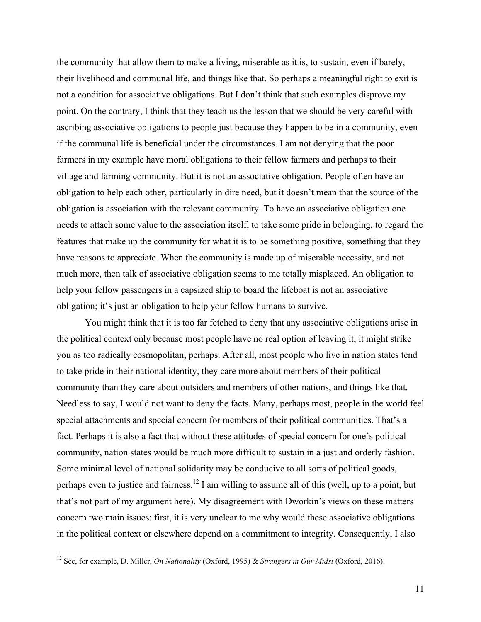the community that allow them to make a living, miserable as it is, to sustain, even if barely, their livelihood and communal life, and things like that. So perhaps a meaningful right to exit is not a condition for associative obligations. But I don't think that such examples disprove my point. On the contrary, I think that they teach us the lesson that we should be very careful with ascribing associative obligations to people just because they happen to be in a community, even if the communal life is beneficial under the circumstances. I am not denying that the poor farmers in my example have moral obligations to their fellow farmers and perhaps to their village and farming community. But it is not an associative obligation. People often have an obligation to help each other, particularly in dire need, but it doesn't mean that the source of the obligation is association with the relevant community. To have an associative obligation one needs to attach some value to the association itself, to take some pride in belonging, to regard the features that make up the community for what it is to be something positive, something that they have reasons to appreciate. When the community is made up of miserable necessity, and not much more, then talk of associative obligation seems to me totally misplaced. An obligation to help your fellow passengers in a capsized ship to board the lifeboat is not an associative obligation; it's just an obligation to help your fellow humans to survive.

You might think that it is too far fetched to deny that any associative obligations arise in the political context only because most people have no real option of leaving it, it might strike you as too radically cosmopolitan, perhaps. After all, most people who live in nation states tend to take pride in their national identity, they care more about members of their political community than they care about outsiders and members of other nations, and things like that. Needless to say, I would not want to deny the facts. Many, perhaps most, people in the world feel special attachments and special concern for members of their political communities. That's a fact. Perhaps it is also a fact that without these attitudes of special concern for one's political community, nation states would be much more difficult to sustain in a just and orderly fashion. Some minimal level of national solidarity may be conducive to all sorts of political goods, perhaps even to justice and fairness.<sup>12</sup> I am willing to assume all of this (well, up to a point, but that's not part of my argument here). My disagreement with Dworkin's views on these matters concern two main issues: first, it is very unclear to me why would these associative obligations in the political context or elsewhere depend on a commitment to integrity. Consequently, I also

 <sup>12</sup> See, for example, D. Miller, *On Nationality* (Oxford, 1995) & *Strangers in Our Midst* (Oxford, 2016).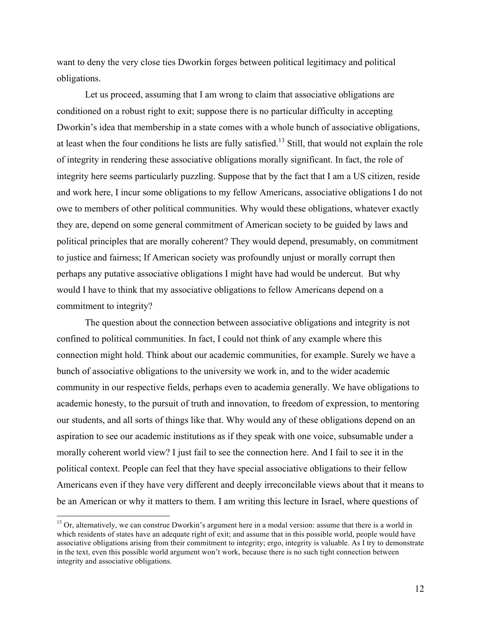want to deny the very close ties Dworkin forges between political legitimacy and political obligations.

Let us proceed, assuming that I am wrong to claim that associative obligations are conditioned on a robust right to exit; suppose there is no particular difficulty in accepting Dworkin's idea that membership in a state comes with a whole bunch of associative obligations, at least when the four conditions he lists are fully satisfied.<sup>13</sup> Still, that would not explain the role of integrity in rendering these associative obligations morally significant. In fact, the role of integrity here seems particularly puzzling. Suppose that by the fact that I am a US citizen, reside and work here, I incur some obligations to my fellow Americans, associative obligations I do not owe to members of other political communities. Why would these obligations, whatever exactly they are, depend on some general commitment of American society to be guided by laws and political principles that are morally coherent? They would depend, presumably, on commitment to justice and fairness; If American society was profoundly unjust or morally corrupt then perhaps any putative associative obligations I might have had would be undercut. But why would I have to think that my associative obligations to fellow Americans depend on a commitment to integrity?

The question about the connection between associative obligations and integrity is not confined to political communities. In fact, I could not think of any example where this connection might hold. Think about our academic communities, for example. Surely we have a bunch of associative obligations to the university we work in, and to the wider academic community in our respective fields, perhaps even to academia generally. We have obligations to academic honesty, to the pursuit of truth and innovation, to freedom of expression, to mentoring our students, and all sorts of things like that. Why would any of these obligations depend on an aspiration to see our academic institutions as if they speak with one voice, subsumable under a morally coherent world view? I just fail to see the connection here. And I fail to see it in the political context. People can feel that they have special associative obligations to their fellow Americans even if they have very different and deeply irreconcilable views about that it means to be an American or why it matters to them. I am writing this lecture in Israel, where questions of

 $13$  Or, alternatively, we can construe Dworkin's argument here in a modal version: assume that there is a world in which residents of states have an adequate right of exit; and assume that in this possible world, people would have associative obligations arising from their commitment to integrity; ergo, integrity is valuable. As I try to demonstrate in the text, even this possible world argument won't work, because there is no such tight connection between integrity and associative obligations.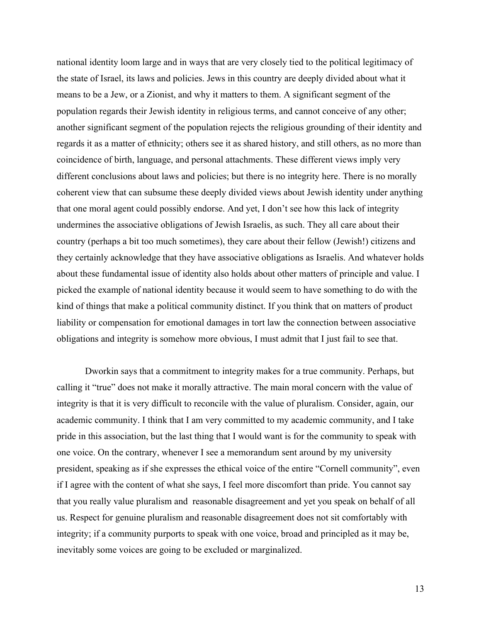national identity loom large and in ways that are very closely tied to the political legitimacy of the state of Israel, its laws and policies. Jews in this country are deeply divided about what it means to be a Jew, or a Zionist, and why it matters to them. A significant segment of the population regards their Jewish identity in religious terms, and cannot conceive of any other; another significant segment of the population rejects the religious grounding of their identity and regards it as a matter of ethnicity; others see it as shared history, and still others, as no more than coincidence of birth, language, and personal attachments. These different views imply very different conclusions about laws and policies; but there is no integrity here. There is no morally coherent view that can subsume these deeply divided views about Jewish identity under anything that one moral agent could possibly endorse. And yet, I don't see how this lack of integrity undermines the associative obligations of Jewish Israelis, as such. They all care about their country (perhaps a bit too much sometimes), they care about their fellow (Jewish!) citizens and they certainly acknowledge that they have associative obligations as Israelis. And whatever holds about these fundamental issue of identity also holds about other matters of principle and value. I picked the example of national identity because it would seem to have something to do with the kind of things that make a political community distinct. If you think that on matters of product liability or compensation for emotional damages in tort law the connection between associative obligations and integrity is somehow more obvious, I must admit that I just fail to see that.

Dworkin says that a commitment to integrity makes for a true community. Perhaps, but calling it "true" does not make it morally attractive. The main moral concern with the value of integrity is that it is very difficult to reconcile with the value of pluralism. Consider, again, our academic community. I think that I am very committed to my academic community, and I take pride in this association, but the last thing that I would want is for the community to speak with one voice. On the contrary, whenever I see a memorandum sent around by my university president, speaking as if she expresses the ethical voice of the entire "Cornell community", even if I agree with the content of what she says, I feel more discomfort than pride. You cannot say that you really value pluralism and reasonable disagreement and yet you speak on behalf of all us. Respect for genuine pluralism and reasonable disagreement does not sit comfortably with integrity; if a community purports to speak with one voice, broad and principled as it may be, inevitably some voices are going to be excluded or marginalized.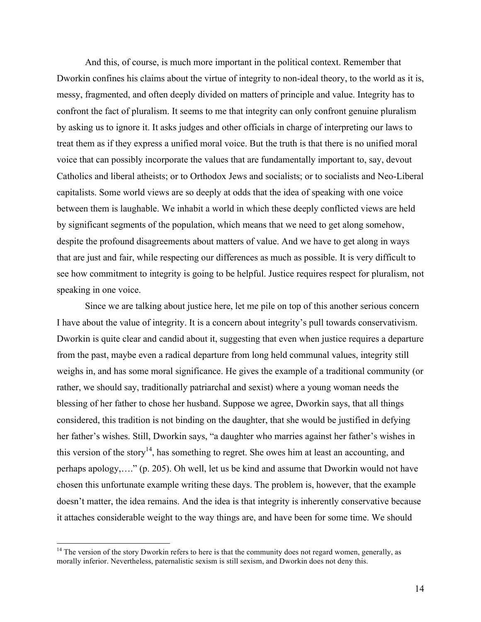And this, of course, is much more important in the political context. Remember that Dworkin confines his claims about the virtue of integrity to non-ideal theory, to the world as it is, messy, fragmented, and often deeply divided on matters of principle and value. Integrity has to confront the fact of pluralism. It seems to me that integrity can only confront genuine pluralism by asking us to ignore it. It asks judges and other officials in charge of interpreting our laws to treat them as if they express a unified moral voice. But the truth is that there is no unified moral voice that can possibly incorporate the values that are fundamentally important to, say, devout Catholics and liberal atheists; or to Orthodox Jews and socialists; or to socialists and Neo-Liberal capitalists. Some world views are so deeply at odds that the idea of speaking with one voice between them is laughable. We inhabit a world in which these deeply conflicted views are held by significant segments of the population, which means that we need to get along somehow, despite the profound disagreements about matters of value. And we have to get along in ways that are just and fair, while respecting our differences as much as possible. It is very difficult to see how commitment to integrity is going to be helpful. Justice requires respect for pluralism, not speaking in one voice.

Since we are talking about justice here, let me pile on top of this another serious concern I have about the value of integrity. It is a concern about integrity's pull towards conservativism. Dworkin is quite clear and candid about it, suggesting that even when justice requires a departure from the past, maybe even a radical departure from long held communal values, integrity still weighs in, and has some moral significance. He gives the example of a traditional community (or rather, we should say, traditionally patriarchal and sexist) where a young woman needs the blessing of her father to chose her husband. Suppose we agree, Dworkin says, that all things considered, this tradition is not binding on the daughter, that she would be justified in defying her father's wishes. Still, Dworkin says, "a daughter who marries against her father's wishes in this version of the story<sup>14</sup>, has something to regret. She owes him at least an accounting, and perhaps apology,…." (p. 205). Oh well, let us be kind and assume that Dworkin would not have chosen this unfortunate example writing these days. The problem is, however, that the example doesn't matter, the idea remains. And the idea is that integrity is inherently conservative because it attaches considerable weight to the way things are, and have been for some time. We should

<sup>&</sup>lt;sup>14</sup> The version of the story Dworkin refers to here is that the community does not regard women, generally, as morally inferior. Nevertheless, paternalistic sexism is still sexism, and Dworkin does not deny this.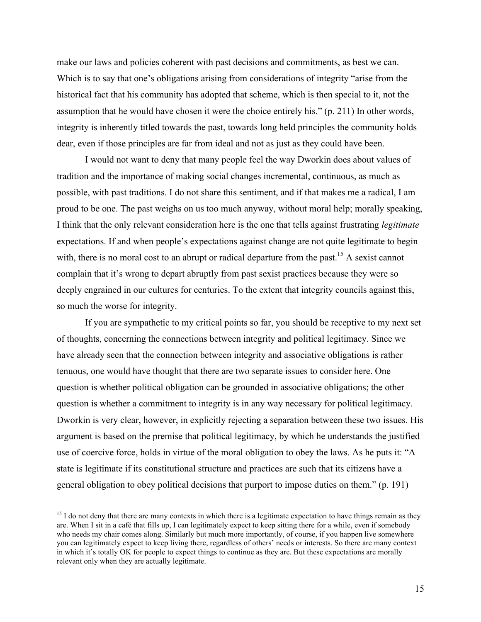make our laws and policies coherent with past decisions and commitments, as best we can. Which is to say that one's obligations arising from considerations of integrity "arise from the historical fact that his community has adopted that scheme, which is then special to it, not the assumption that he would have chosen it were the choice entirely his." (p. 211) In other words, integrity is inherently titled towards the past, towards long held principles the community holds dear, even if those principles are far from ideal and not as just as they could have been.

I would not want to deny that many people feel the way Dworkin does about values of tradition and the importance of making social changes incremental, continuous, as much as possible, with past traditions. I do not share this sentiment, and if that makes me a radical, I am proud to be one. The past weighs on us too much anyway, without moral help; morally speaking, I think that the only relevant consideration here is the one that tells against frustrating *legitimate* expectations. If and when people's expectations against change are not quite legitimate to begin with, there is no moral cost to an abrupt or radical departure from the past.<sup>15</sup> A sexist cannot complain that it's wrong to depart abruptly from past sexist practices because they were so deeply engrained in our cultures for centuries. To the extent that integrity councils against this, so much the worse for integrity.

If you are sympathetic to my critical points so far, you should be receptive to my next set of thoughts, concerning the connections between integrity and political legitimacy. Since we have already seen that the connection between integrity and associative obligations is rather tenuous, one would have thought that there are two separate issues to consider here. One question is whether political obligation can be grounded in associative obligations; the other question is whether a commitment to integrity is in any way necessary for political legitimacy. Dworkin is very clear, however, in explicitly rejecting a separation between these two issues. His argument is based on the premise that political legitimacy, by which he understands the justified use of coercive force, holds in virtue of the moral obligation to obey the laws. As he puts it: "A state is legitimate if its constitutional structure and practices are such that its citizens have a general obligation to obey political decisions that purport to impose duties on them." (p. 191)

 $15$  I do not deny that there are many contexts in which there is a legitimate expectation to have things remain as they are. When I sit in a café that fills up, I can legitimately expect to keep sitting there for a while, even if somebody who needs my chair comes along. Similarly but much more importantly, of course, if you happen live somewhere you can legitimately expect to keep living there, regardless of others' needs or interests. So there are many context in which it's totally OK for people to expect things to continue as they are. But these expectations are morally relevant only when they are actually legitimate.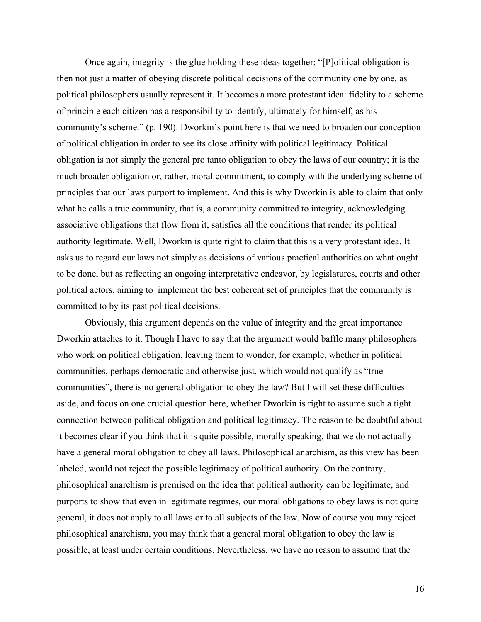Once again, integrity is the glue holding these ideas together; "[P]olitical obligation is then not just a matter of obeying discrete political decisions of the community one by one, as political philosophers usually represent it. It becomes a more protestant idea: fidelity to a scheme of principle each citizen has a responsibility to identify, ultimately for himself, as his community's scheme." (p. 190). Dworkin's point here is that we need to broaden our conception of political obligation in order to see its close affinity with political legitimacy. Political obligation is not simply the general pro tanto obligation to obey the laws of our country; it is the much broader obligation or, rather, moral commitment, to comply with the underlying scheme of principles that our laws purport to implement. And this is why Dworkin is able to claim that only what he calls a true community, that is, a community committed to integrity, acknowledging associative obligations that flow from it, satisfies all the conditions that render its political authority legitimate. Well, Dworkin is quite right to claim that this is a very protestant idea. It asks us to regard our laws not simply as decisions of various practical authorities on what ought to be done, but as reflecting an ongoing interpretative endeavor, by legislatures, courts and other political actors, aiming to implement the best coherent set of principles that the community is committed to by its past political decisions.

Obviously, this argument depends on the value of integrity and the great importance Dworkin attaches to it. Though I have to say that the argument would baffle many philosophers who work on political obligation, leaving them to wonder, for example, whether in political communities, perhaps democratic and otherwise just, which would not qualify as "true communities", there is no general obligation to obey the law? But I will set these difficulties aside, and focus on one crucial question here, whether Dworkin is right to assume such a tight connection between political obligation and political legitimacy. The reason to be doubtful about it becomes clear if you think that it is quite possible, morally speaking, that we do not actually have a general moral obligation to obey all laws. Philosophical anarchism, as this view has been labeled, would not reject the possible legitimacy of political authority. On the contrary, philosophical anarchism is premised on the idea that political authority can be legitimate, and purports to show that even in legitimate regimes, our moral obligations to obey laws is not quite general, it does not apply to all laws or to all subjects of the law. Now of course you may reject philosophical anarchism, you may think that a general moral obligation to obey the law is possible, at least under certain conditions. Nevertheless, we have no reason to assume that the